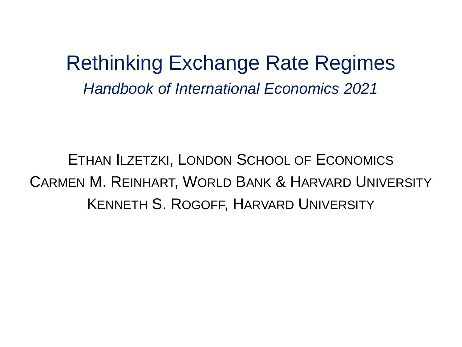Rethinking Exchange Rate Regimes *Handbook of International Economics 2021*

ETHAN ILZETZKI, LONDON SCHOOL OF ECONOMICS CARMEN M. REINHART, WORLD BANK & HARVARD UNIVERSITY KENNETH S. ROGOFF, HARVARD UNIVERSITY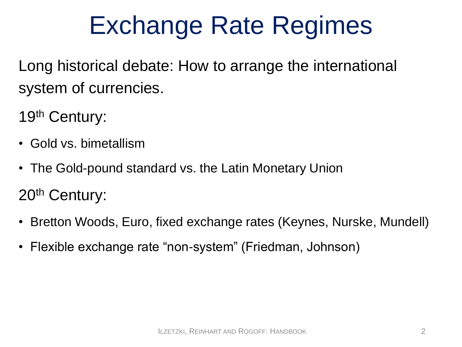## Exchange Rate Regimes

Long historical debate: How to arrange the international system of currencies.

19th Century:

- Gold vs. bimetallism
- The Gold-pound standard vs. the Latin Monetary Union 20<sup>th</sup> Century:
- Bretton Woods, Euro, fixed exchange rates (Keynes, Nurske, Mundell)
- Flexible exchange rate "non-system" (Friedman, Johnson)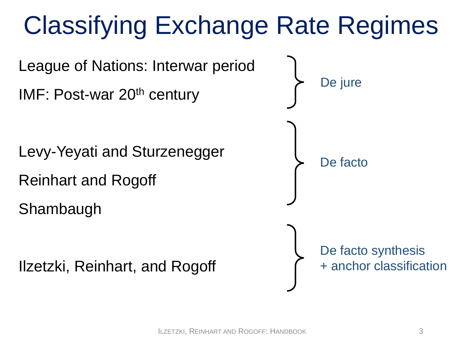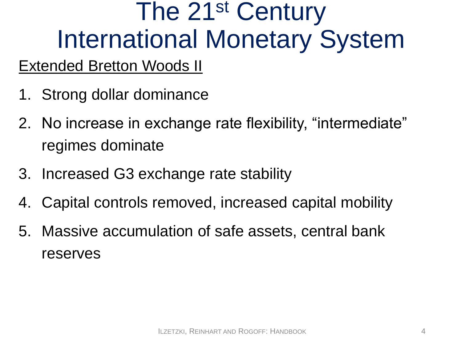# The 21<sup>st</sup> Century International Monetary System

#### Extended Bretton Woods II

- 1. Strong dollar dominance
- 2. No increase in exchange rate flexibility, "intermediate" regimes dominate
- 3. Increased G3 exchange rate stability
- 4. Capital controls removed, increased capital mobility
- 5. Massive accumulation of safe assets, central bank reserves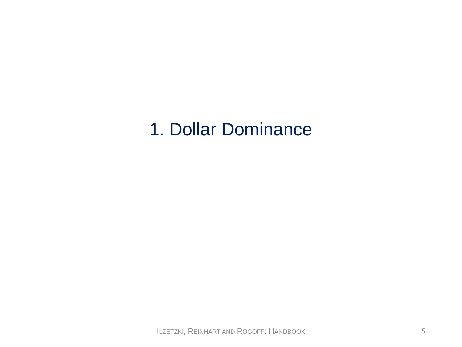### 1. Dollar Dominance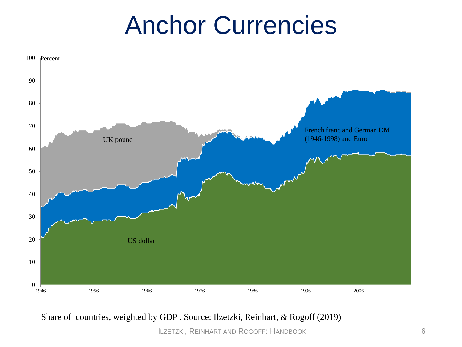### Anchor Currencies



Share of countries, weighted by GDP . Source: Ilzetzki, Reinhart, & Rogoff (2019)

ILZETZKI, REINHART AND ROGOFF: HANDBOOK 6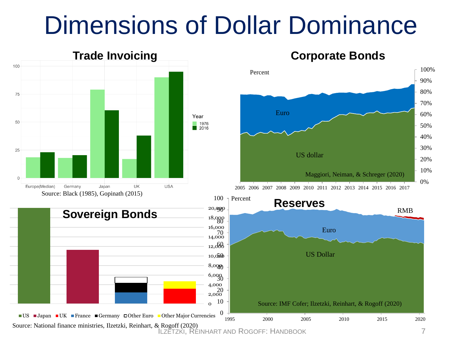### Dimensions of Dollar Dominance



#### 0 2,000 4,000 6,000 30 8,000 40 10,000 50 12,000 60 14,000 16,000 18,000 80 20,000 90  $\Box$ US  $\Box$ Japan  $\Box$ UK France  $\Box$ Germany  $\Box$ Other Euro  $\Box$ Other Major Currencies **Sovereign Bonds** 0 10 20 70 1995 2000 2005 2010 2015 2020

Source: National finance ministries, Ilzetzki, Reinhart, & Rogoff (2020)<br>ILZETZKI, REINHART AND ROGOFF: HANDBOOK 7

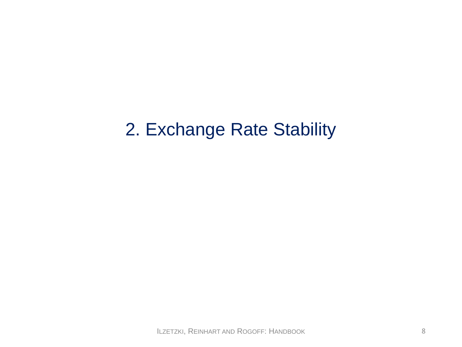#### 2. Exchange Rate Stability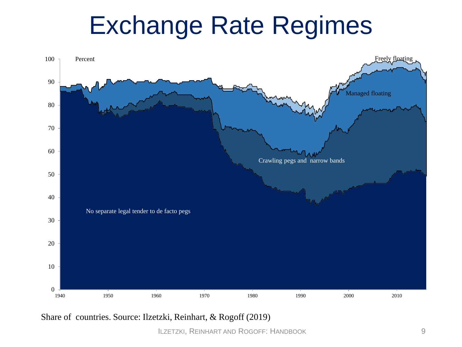### Exchange Rate Regimes



Share of countries. Source: Ilzetzki, Reinhart, & Rogoff (2019)

ILZETZKI, REINHART AND ROGOFF: HANDBOOK 9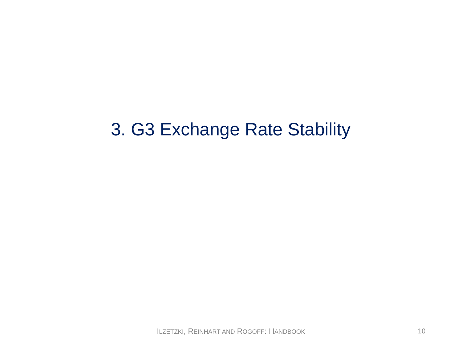### 3. G3 Exchange Rate Stability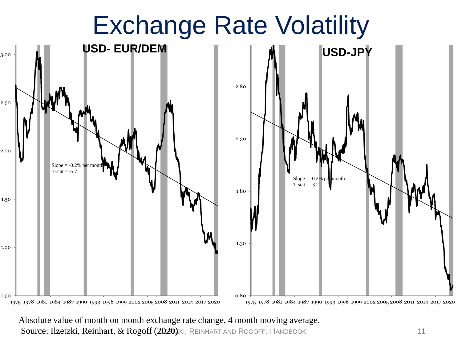

Source: Ilzetzki, Reinhart, & Rogoff (2020) KI, REINHART AND ROGOFF: HANDBOOK 11 Absolute value of month on month exchange rate change, 4 month moving average.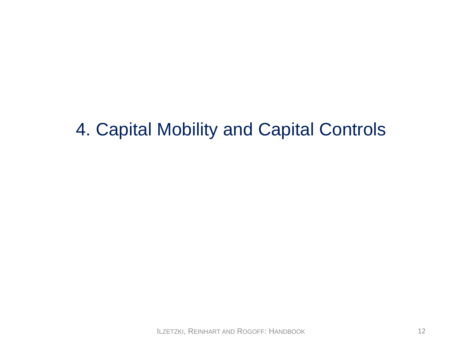### 4. Capital Mobility and Capital Controls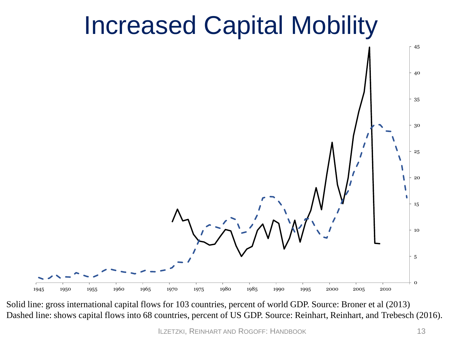### Increased Capital Mobility



Solid line: gross international capital flows for 103 countries, percent of world GDP. Source: Broner et al (2013) Dashed line: shows capital flows into 68 countries, percent of US GDP. Source: Reinhart, Reinhart, and Trebesch (2016).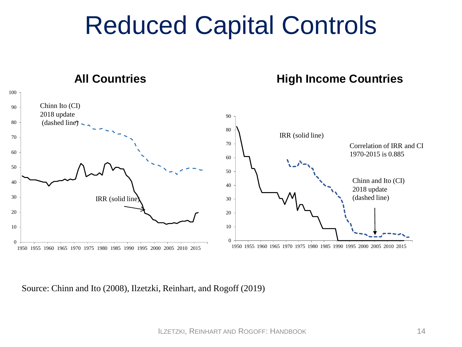### Reduced Capital Controls



Source: Chinn and Ito (2008), Ilzetzki, Reinhart, and Rogoff (2019)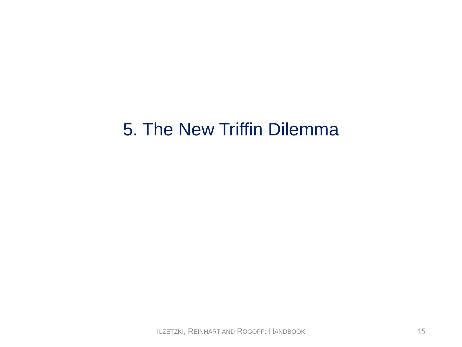#### 5. The New Triffin Dilemma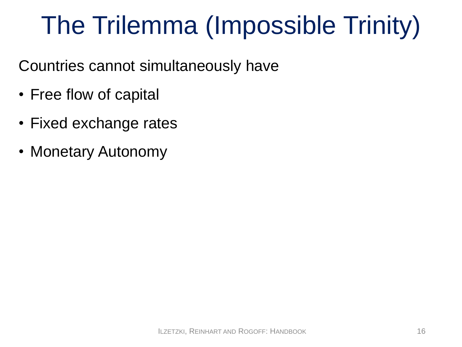# The Trilemma (Impossible Trinity)

Countries cannot simultaneously have

- Free flow of capital
- Fixed exchange rates
- Monetary Autonomy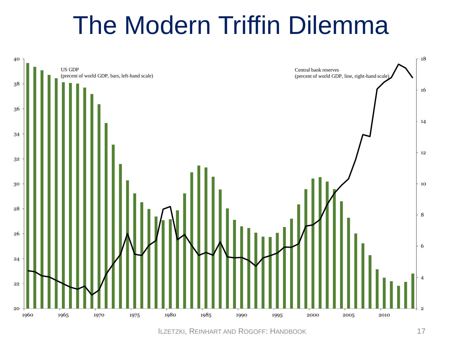### The Modern Triffin Dilemma



ILZETZKI, REINHART AND ROGOFF: HANDBOOK 17